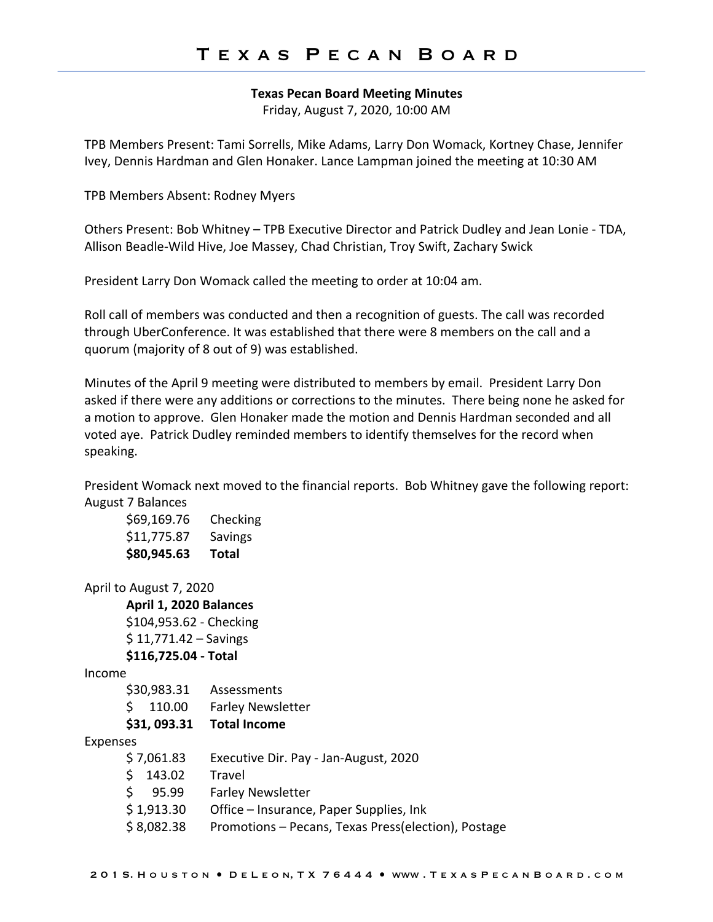#### **Texas Pecan Board Meeting Minutes**

Friday, August 7, 2020, 10:00 AM

TPB Members Present: Tami Sorrells, Mike Adams, Larry Don Womack, Kortney Chase, Jennifer Ivey, Dennis Hardman and Glen Honaker. Lance Lampman joined the meeting at 10:30 AM

TPB Members Absent: Rodney Myers

Others Present: Bob Whitney – TPB Executive Director and Patrick Dudley and Jean Lonie - TDA, Allison Beadle-Wild Hive, Joe Massey, Chad Christian, Troy Swift, Zachary Swick

President Larry Don Womack called the meeting to order at 10:04 am.

Roll call of members was conducted and then a recognition of guests. The call was recorded through UberConference. It was established that there were 8 members on the call and a quorum (majority of 8 out of 9) was established.

Minutes of the April 9 meeting were distributed to members by email. President Larry Don asked if there were any additions or corrections to the minutes. There being none he asked for a motion to approve. Glen Honaker made the motion and Dennis Hardman seconded and all voted aye. Patrick Dudley reminded members to identify themselves for the record when speaking.

President Womack next moved to the financial reports. Bob Whitney gave the following report: August 7 Balances

| \$80,945.63 | Total    |
|-------------|----------|
| \$11,775.87 | Savings  |
| \$69,169.76 | Checking |

```
April to August 7, 2020
```
**April 1, 2020 Balances** \$104,953.62 - Checking

 $$ 11,771.42 -$  Savings

#### **\$116,725.04 - Total**

Income

| \$31,093.31 | <b>Total Income</b>      |
|-------------|--------------------------|
| \$110.00    | <b>Farley Newsletter</b> |
| \$30,983.31 | Assessments              |

### Expenses

| \$7,061.83  | Executive Dir. Pay - Jan-August, 2020               |
|-------------|-----------------------------------------------------|
| \$143.02    | Travel                                              |
| \$ 95.99    | <b>Farley Newsletter</b>                            |
| \$ 1,913.30 | Office – Insurance, Paper Supplies, Ink             |
| \$ 8,082.38 | Promotions – Pecans, Texas Press(election), Postage |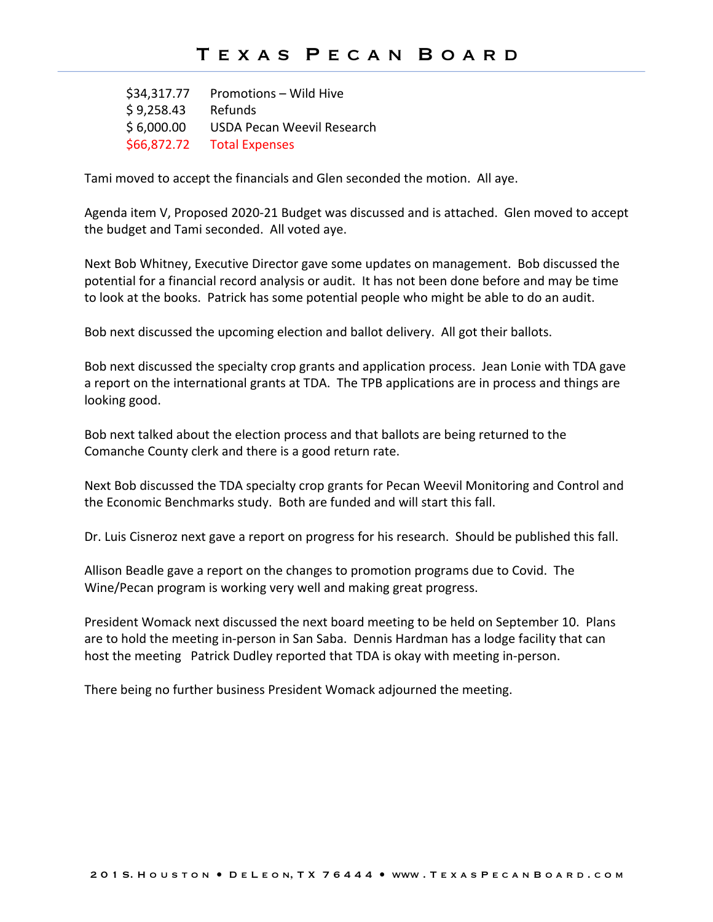\$34,317.77 Promotions – Wild Hive \$ 9,258.43 Refunds \$ 6,000.00 USDA Pecan Weevil Research \$66,872.72 Total Expenses

Tami moved to accept the financials and Glen seconded the motion. All aye.

Agenda item V, Proposed 2020-21 Budget was discussed and is attached. Glen moved to accept the budget and Tami seconded. All voted aye.

Next Bob Whitney, Executive Director gave some updates on management. Bob discussed the potential for a financial record analysis or audit. It has not been done before and may be time to look at the books. Patrick has some potential people who might be able to do an audit.

Bob next discussed the upcoming election and ballot delivery. All got their ballots.

Bob next discussed the specialty crop grants and application process. Jean Lonie with TDA gave a report on the international grants at TDA. The TPB applications are in process and things are looking good.

Bob next talked about the election process and that ballots are being returned to the Comanche County clerk and there is a good return rate.

Next Bob discussed the TDA specialty crop grants for Pecan Weevil Monitoring and Control and the Economic Benchmarks study. Both are funded and will start this fall.

Dr. Luis Cisneroz next gave a report on progress for his research. Should be published this fall.

Allison Beadle gave a report on the changes to promotion programs due to Covid. The Wine/Pecan program is working very well and making great progress.

President Womack next discussed the next board meeting to be held on September 10. Plans are to hold the meeting in-person in San Saba. Dennis Hardman has a lodge facility that can host the meeting Patrick Dudley reported that TDA is okay with meeting in-person.

There being no further business President Womack adjourned the meeting.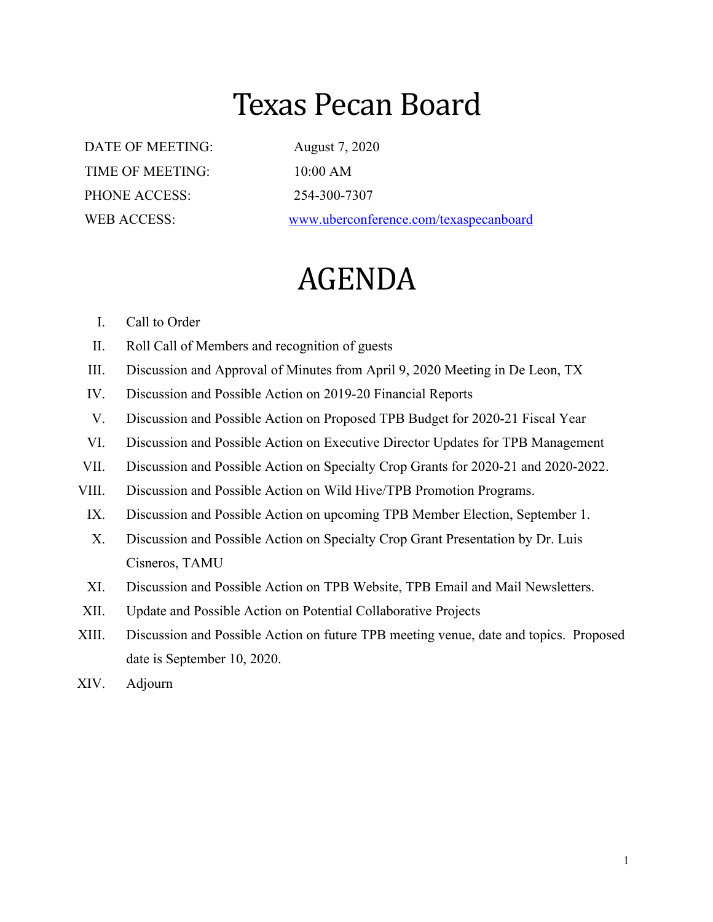# Texas Pecan Board

DATE OF MEETING: August 7, 2020 TIME OF MEETING: 10:00 AM PHONE ACCESS: 254-300-7307

WEB ACCESS: www.uberconference.com/texaspecanboard

# AGENDA

### I. Call to Order

- II. Roll Call of Members and recognition of guests
- III. Discussion and Approval of Minutes from April 9, 2020 Meeting in De Leon, TX
- IV. Discussion and Possible Action on 2019-20 Financial Reports
- V. Discussion and Possible Action on Proposed TPB Budget for 2020-21 Fiscal Year
- VI. Discussion and Possible Action on Executive Director Updates for TPB Management
- VII. Discussion and Possible Action on Specialty Crop Grants for 2020-21 and 2020-2022.
- VIII. Discussion and Possible Action on Wild Hive/TPB Promotion Programs.
- IX. Discussion and Possible Action on upcoming TPB Member Election, September 1.
- X. Discussion and Possible Action on Specialty Crop Grant Presentation by Dr. Luis Cisneros, TAMU
- XI. Discussion and Possible Action on TPB Website, TPB Email and Mail Newsletters.
- XII. Update and Possible Action on Potential Collaborative Projects
- XIII. Discussion and Possible Action on future TPB meeting venue, date and topics. Proposed date is September 10, 2020.
- XIV. Adjourn